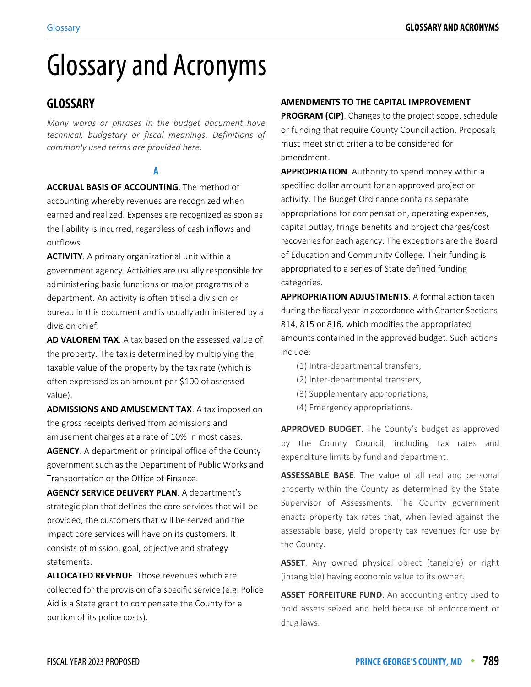# Glossary and Acronyms

# **GLOSSARY**

*Many words or phrases in the budget document have technical, budgetary or fiscal meanings. Definitions of commonly used terms are provided here.*

#### **A**

**ACCRUAL BASIS OF ACCOUNTING**. The method of accounting whereby revenues are recognized when earned and realized. Expenses are recognized as soon as the liability is incurred, regardless of cash inflows and outflows.

**ACTIVITY**. A primary organizational unit within a government agency. Activities are usually responsible for administering basic functions or major programs of a department. An activity is often titled a division or bureau in this document and is usually administered by a division chief.

**AD VALOREM TAX**[. A tax based on the assessed value of](http://www.investopedia.com/terms/e/erisa.asp)  [the property. The tax is determined by multiplying the](http://www.investopedia.com/terms/e/erisa.asp)  taxable value of the property by the tax rate (which is [often expressed as an amoun](http://www.investopedia.com/terms/e/erisa.asp)[t per \\$100 of assessed](http://www.investopedia.com/terms/h/healthinsurance.asp)  [value\).](http://www.investopedia.com/terms/h/healthinsurance.asp)

**ADMISSIONS AND AMUSEMENT TAX**. A tax imposed on the gross receipts derived from admissions and amusement charges at a rate of 10% in most cases.

**AGENCY**. A department or principal office of the County government such as the Department of Public Works and Transportation or the Office of Finance.

**AGENCY SERVICE DELIVERY PLAN**. A department's strategic plan that defines the core services that will be provided, the customers that will be served and the impact core services will have on its customers. It consists of mission, goal, objective and strategy statements.

**ALLOCATED REVENUE**. Those revenues which are collected for the provision of a specific service (e.g. Police Aid is a State grant to compensate the County for a portion of its police costs).

#### **AMENDMENTS TO THE CAPITAL IMPROVEMENT**

**PROGRAM (CIP)**. Changes to the project scope, schedule or funding that require County Council action. Proposals must meet strict criteria to be considered for amendment.

**APPROPRIATION**. Authority to spend money within a specified dollar amount for an approved project or activity. The Budget Ordinance contains separate appropriations for compensation, operating expenses, capital outlay, fringe benefits and project charges/cost recoveries for each agency. The exceptions are the Board of Education and Community College. Their funding is appropriated to a series of State defined funding categories.

**APPROPRIATION ADJUSTMENTS**. A formal action taken during the fiscal year in accordance with Charter Sections 814, 815 or 816, which modifies the appropriated amounts contained in the approved budget. Such actions include:

- (1) Intra-departmental transfers,
- (2) Inter-departmental transfers,
- (3) Supplementary appropriations,
- (4) Emergency appropriations.

**APPROVED BUDGET**. The County's budget as approved by the County Council, including tax rates and expenditure limits by fund and department.

**ASSESSABLE BASE**. The value of all real and personal property within the County as determined by the State Supervisor of Assessments. The County government enacts property tax rates that, when levied against the assessable base, yield property tax revenues for use by the County.

**ASSET**. Any owned physical object (tangible) or right (intangible) having economic value to its owner.

**ASSET FORFEITURE FUND.** An accounting entity used to hold assets seized and held because of enforcement of drug laws.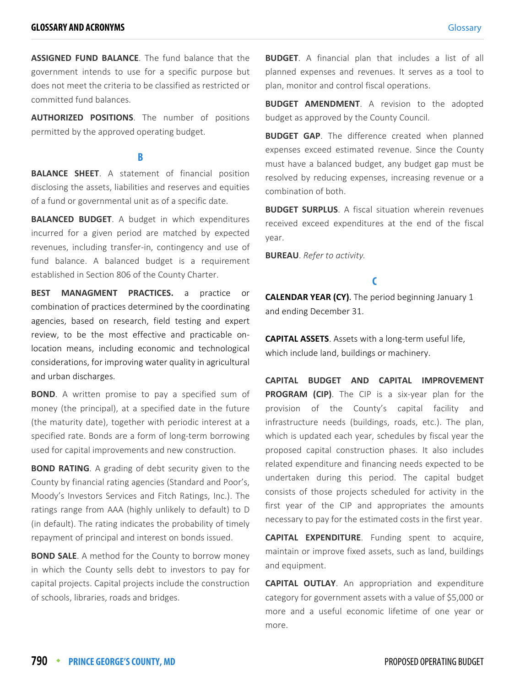**ASSIGNED FUND BALANCE**. The fund balance that the government intends to use for a specific purpose but does not meet the criteria to be classified as restricted or committed fund balances.

**AUTHORIZED POSITIONS**. The number of positions permitted by the approved operating budget.

#### **B**

**BALANCE SHEET**. A statement of financial position disclosing the assets, liabilities and reserves and equities of a fund or governmental unit as of a specific date.

**BALANCED BUDGET**. A budget in which expenditures incurred for a given period are matched by expected revenues, including transfer-in, contingency and use of fund balance. A balanced budget is a requirement established in Section 806 of the County Charter.

**BEST MANAGMENT PRACTICES.** a practice or combination of practices determined by the coordinating agencies, based on research, field testing and expert review, to be the most effective and practicable onlocation means, including economic and technological considerations, for improving water quality in agricultural and urban discharges.

**BOND**. A written promise to pay a specified sum of money (the principal), at a specified date in the future (the maturity date), together with periodic interest at a specified rate. Bonds are a form of long-term borrowing used for capital improvements and new construction.

**BOND RATING**. A grading of debt security given to the County by financial rating agencies (Standard and Poor's, Moody's Investors Services and Fitch Ratings, Inc.). The ratings range from AAA (highly unlikely to default) to D (in default). The rating indicates the probability of timely repayment of principal and interest on bonds issued.

**BOND SALE**. A method for the County to borrow money in which the County sells debt to investors to pay for capital projects. Capital projects include the construction of schools, libraries, roads and bridges.

**BUDGET**. A financial plan that includes a list of all planned expenses and revenues. It serves as a tool to plan, monitor and control fiscal operations.

**BUDGET AMENDMENT**. A revision to the adopted budget as approved by the County Council.

**BUDGET GAP**. The difference created when planned expenses exceed estimated revenue. Since the County must have a balanced budget, any budget gap must be resolved by reducing expenses, increasing revenue or a combination of both.

**BUDGET SURPLUS**. A fiscal situation wherein revenues received exceed expenditures at the end of the fiscal year.

**BUREAU**. *Refer to activity.*

#### **C**

**CALENDAR YEAR (CY)**. The period beginning January 1 and ending December 31.

**CAPITAL ASSETS**. Assets with a long-term useful life, which include land, buildings or machinery.

**CAPITAL BUDGET AND CAPITAL IMPROVEMENT PROGRAM (CIP)**. The CIP is a six-year plan for the provision of the County's capital facility and infrastructure needs (buildings, roads, etc.). The plan, which is updated each year, schedules by fiscal year the proposed capital construction phases. It also includes related expenditure and financing needs expected to be undertaken during this period. The capital budget consists of those projects scheduled for activity in the first year of the CIP and appropriates the amounts necessary to pay for the estimated costs in the first year.

**CAPITAL EXPENDITURE**. Funding spent to acquire, maintain or improve fixed assets, such as land, buildings and equipment.

**CAPITAL OUTLAY**. An appropriation and expenditure category for government assets with a value of \$5,000 or more and a useful economic lifetime of one year or more.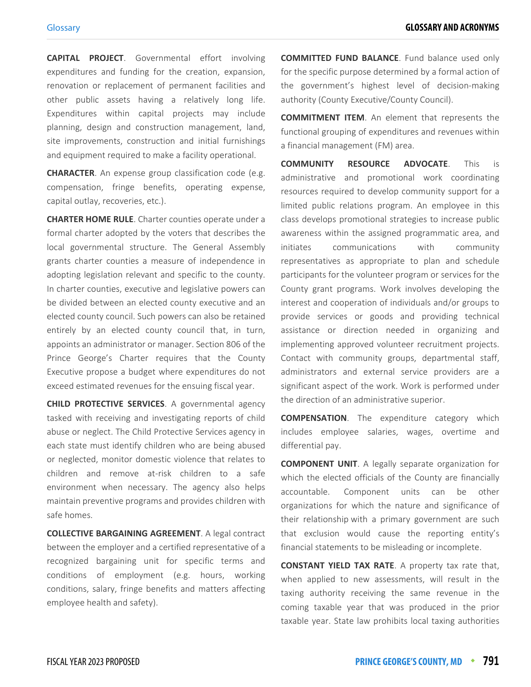**CAPITAL PROJECT**. Governmental effort involving expenditures and funding for the creation, expansion, renovation or replacement of permanent facilities and other public assets having a relatively long life. Expenditures within capital projects may include planning, design and construction management, land, site improvements, construction and initial furnishings and equipment required to make a facility operational.

**CHARACTER**. An expense group classification code (e.g. compensation, fringe benefits, operating expense, capital outlay, recoveries, etc.).

**CHARTER HOME RULE**. Charter counties operate under a formal charter adopted by the voters that describes the local governmental structure. The General Assembly grants charter counties a measure of independence in adopting legislation relevant and specific to the county. In charter counties, executive and legislative powers can be divided between an elected county executive and an elected county council. Such powers can also be retained entirely by an elected county council that, in turn, appoints an administrator or manager. Section 806 of the Prince George's Charter requires that the County Executive propose a budget where expenditures do not exceed estimated revenues for the ensuing fiscal year.

**CHILD PROTECTIVE SERVICES**[. A governmental agency](http://legaldictionary.net/child-abuse/) [tasked with receiving and investigating reports of child](http://legaldictionary.net/child-abuse/) abuse or neglect. The Child Protective Services agency in each state must identify children who are being abused [or neglected, monitor dom](http://legaldictionary.net/child-abuse/)[estic violence that relates to](http://legaldictionary.net/domestic-violence/) [children and remove at-risk children to a safe](http://legaldictionary.net/domestic-violence/) environment when necessary. The agency also helps maintain preventive programs and provides children with safe homes.

**COLLECTIVE BARGAINING AGREEMENT**. A legal contract between the employer and a certified representative of a recognized bargaining unit for specific terms and conditions of employment (e.g. hours, working conditions, salary, fringe benefits and matters affecting employee health and safety).

**COMMITTED FUND BALANCE**. Fund balance used only for the specific purpose determined by a formal action of the government's highest level of decision-making authority (County Executive/County Council).

**COMMITMENT ITEM**. An element that represents the functional grouping of expenditures and revenues within a financial management (FM) area.

**COMMUNITY RESOURCE ADVOCATE**. This is administrative and promotional work coordinating resources required to develop community support for a limited public relations program. An employee in this class develops promotional strategies to increase public awareness within the assigned programmatic area, and initiates communications with community representatives as appropriate to plan and schedule participants for the volunteer program or services for the County grant programs. Work involves developing the interest and cooperation of individuals and/or groups to provide services or goods and providing technical assistance or direction needed in organizing and implementing approved volunteer recruitment projects. Contact with community groups, departmental staff, administrators and external service providers are a significant aspect of the work. Work is performed under the direction of an administrative superior.

**COMPENSATION**. The expenditure category which includes employee salaries, wages, overtime and differential pay.

**COMPONENT UNIT**. A legally separate organization for which the elected officials of the County are financially accountable. Component units can be other organizations for which the nature and significance of their relationship with a primary government are such that exclusion would cause the reporting entity's financial statements to be misleading or incomplete.

**CONSTANT YIELD TAX RATE**. A property tax rate that, when applied to new assessments, will result in the taxing authority receiving the same revenue in the coming taxable year that was produced in the prior taxable year. State law prohibits local taxing authorities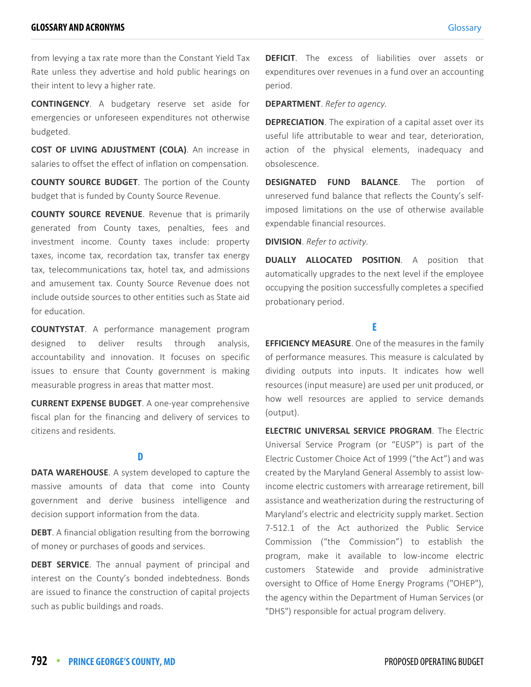from levying a tax rate more than the Constant Yield Tax Rate unless they advertise and hold public hearings on their intent to levy a higher rate.

**CONTINGENCY**. A budgetary reserve set aside for emergencies or unforeseen expenditures not otherwise budgeted.

**COST OF LIVING ADJUSTMENT (COLA)**. An increase in salaries to offset the effect of inflation on compensation.

**COUNTY SOURCE BUDGET**. The portion of the County budget that is funded by County Source Revenue.

**COUNTY SOURCE REVENUE**. Revenue that is primarily generated from County taxes, penalties, fees and investment income. County taxes include: property taxes, income tax, recordation tax, transfer tax energy tax, telecommunications tax, hotel tax, and admissions and amusement tax. County Source Revenue does not include outside sources to other entities such as State aid for education.

**COUNTYSTAT**. A performance management program designed to deliver results through analysis, accountability and innovation. It focuses on specific issues to ensure that County government is making measurable progress in areas that matter most.

**CURRENT EXPENSE BUDGET**. A one-year comprehensive fiscal plan for the financing and delivery of services to citizens and residents.

#### **D**

**DATA WAREHOUSE**[. A system developed to capture the](https://en.wikipedia.org/wiki/School_district) [massive amounts of data that come into County](https://en.wikipedia.org/wiki/School_district) government and derive business intelligence and [decision suppor](https://en.wikipedia.org/wiki/School_district)[t information from the data.](https://en.wikipedia.org/wiki/Prince_George%27s_County,_Maryland)

**DEBT**[. A financial obligation resulting from the borrowing](https://en.wikipedia.org/wiki/Maryland_State_Department_of_Education) [of money or purchases of goods and services.](https://en.wikipedia.org/wiki/Maryland_State_Department_of_Education)

**DEBT SERVICE**[. The annual payment of principal and](https://en.wikipedia.org/wiki/Upper_Marlboro,_Maryland) [interest on the County's bonded indebtedness. Bonds](https://en.wikipedia.org/wiki/Upper_Marlboro,_Maryland) are issued to finance the construction of capital projects such as public buildings and roads.

**DEFICIT**. The excess of liabilities over assets or expenditures over revenues in a fund over an accounting period.

**DEPARTMENT**. *Refer to agency.*

**DEPRECIATION**. The expiration of a capital asset over its useful life attributable to wear and tear, deterioration, action of the physical elements, inadequacy and obsolescence.

**DESIGNATED FUND BALANCE**. The portion of unreserved fund balance that reflects the County's selfimposed limitations on the use of otherwise available expendable financial resources.

**DIVISION**. *Refer to activity.*

**DUALLY ALLOCATED POSITION**. A position that automatically upgrades to the next level if the employee occupying the position successfully completes a specified probationary period.

#### **E**

**EFFICIENCY MEASURE**. One of the measures in the family of performance measures. This measure is calculated by dividing outputs into inputs. It indicates how well resources (input measure) are used per unit produced, or how well resources are applied to service demands (output).

**ELECTRIC UNIVERSAL SERVICE PROGRAM**. The Electric Universal Service Program (or "EUSP") is part of the Electric Customer Choice Act of 1999 ("the Act") and was created by the Maryland General Assembly to assist lowincome electric customers with arrearage retirement, bill assistance and weatherization during the restructuring of Maryland's electric and electricity supply market. Section 7-512.1 of the Act authorized the Public Service Commission ("the Commission") to establish the program, make it available to low-income electric customers Statewide and provide administrative oversight to Office of Home Energy Programs ("OHEP"), the agency within the Department of Human Services (or "DHS") responsible for actual program delivery.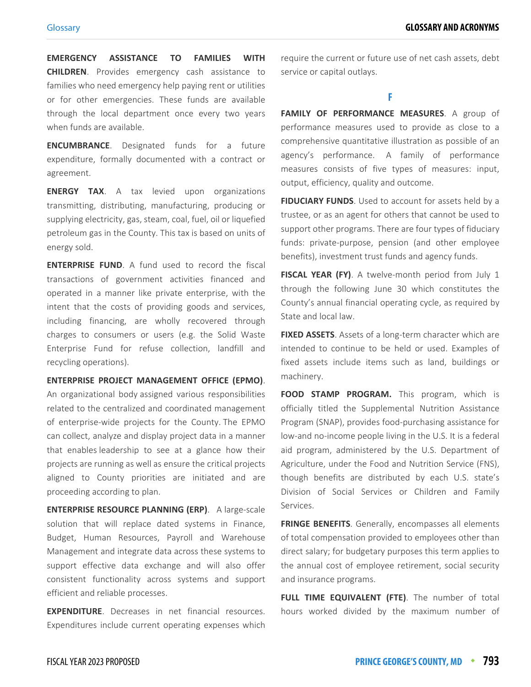**EMERGENCY ASSISTANCE TO FAMILIES WITH CHILDREN**. Provides emergency cash assistance to families who need emergency help paying rent or utilities or for other emergencies. These funds are available through the local department once every two years when funds are available.

**ENCUMBRANCE**. Designated funds for a future expenditure, formally documented with a contract or agreement.

**ENERGY TAX**. A tax levied upon organizations transmitting, distributing, manufacturing, producing or supplying electricity, gas, steam, coal, fuel, oil or liquefied petroleum gas in the County. This tax is based on units of energy sold.

**ENTERPRISE FUND**. A fund used to record the fiscal transactions of government activities financed and operated in a manner like private enterprise, with the intent that the costs of providing goods and services, including financing, are wholly recovered through charges to consumers or users (e.g. the Solid Waste Enterprise Fund for refuse collection, landfill and recycling operations).

**ENTERPRISE PROJECT MANAGEMENT OFFICE (EPMO)**.

An organizational body assigned various responsibilities related to the centralized and coordinated management of enterprise-wide projects for the County. The EPMO can collect, analyze and display project data in a manner that enables leadership to see at a glance how their projects are running as well as ensure the critical projects aligned to County priorities are initiated and are proceeding according to plan.

**ENTERPRISE RESOURCE PLANNING (ERP)**. A large-scale solution that will replace dated systems in Finance, Budget, Human Resources, Payroll and Warehouse Management and integrate data across these systems to support effective data exchange and will also offer consistent functionality across systems and support efficient and reliable processes.

**EXPENDITURE**. Decreases in net financial resources. Expenditures include current operating expenses which require the current or future use of net cash assets, debt service or capital outlays.

**F**

**FAMILY OF PERFORMANCE MEASURES**. A group of performance measures used to provide as close to a comprehensive quantitative illustration as possible of an agency's performance. A family of performance measures consists of five types of measures: input, output, efficiency, quality and outcome.

**FIDUCIARY FUNDS**. Used to account for assets held by a trustee, or as an agent for others that cannot be used to support other programs. There are four types of fiduciary funds: private-purpose, pension (and other employee benefits), investment trust funds and agency funds.

**FISCAL YEAR (FY)**. A twelve-month period from July 1 through the following June 30 which constitutes the County's annual financial operating cycle, as required by State and local law.

**FIXED ASSETS**. Assets of a long-term character which are intended to continue to be held or used. Examples of fixed assets include items such as land, buildings or machinery.

**FOOD STAMP PROGRAM.** This program, which is officially titled the Supplemental Nutrition Assistance Program (SNAP), provides food-purchasing assistance for low-and no-income people living in the U.S. It is a federal aid program, administered by the U.S. Department of Agriculture, under the Food and Nutrition Service (FNS), though benefits are distributed by each U.S. state's Division of Social Services or Children and Family Services.

**FRINGE BENEFITS**. Generally, encompasses all elements of total compensation provided to employees other than direct salary; for budgetary purposes this term applies to the annual cost of employee retirement, social security and insurance programs.

**FULL TIME EQUIVALENT (FTE)**. The number of total hours worked divided by the maximum number of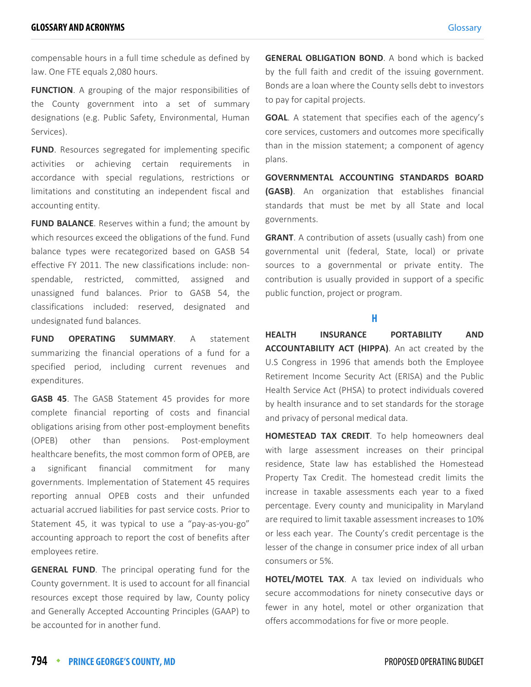compensable hours in a full time schedule as defined by law. One FTE equals 2,080 hours.

**FUNCTION**. A grouping of the major responsibilities of the County government into a set of summary designations (e.g. Public Safety, Environmental, Human Services).

**FUND**. Resources segregated for implementing specific activities or achieving certain requirements in accordance with special regulations, restrictions or limitations and constituting an independent fiscal and accounting entity.

**FUND BALANCE**. Reserves within a fund; the amount by which resources exceed the obligations of the fund. Fund balance types were recategorized based on GASB 54 effective FY 2011. The new classifications include: nonspendable, restricted, committed, assigned and unassigned fund balances. Prior to GASB 54, the classifications included: reserved, designated and undesignated fund balances.

**FUND OPERATING SUMMARY**. A statement summarizing the financial operations of a fund for a specified period, including current revenues and expenditures.

**GASB 45**. The GASB Statement 45 provides for more complete financial reporting of costs and financial obligations arising from other post-employment benefits (OPEB) other than pensions. Post-employment healthcare benefits, the most common form of OPEB, are a significant financial commitment for many governments. Implementation of Statement 45 requires reporting annual OPEB costs and their unfunded actuarial accrued liabilities for past service costs. Prior to Statement 45, it was typical to use a "pay-as-you-go" accounting approach to report the cost of benefits after employees retire.

**GENERAL FUND**. The principal operating fund for the County government. It is used to account for all financial resources except those required by law, County policy and Generally Accepted Accounting Principles (GAAP) to be accounted for in another fund.

**GENERAL OBLIGATION BOND**. A bond which is backed by the full faith and credit of the issuing government. Bonds are a loan where the County sells debt to investors to pay for capital projects.

**GOAL**. A statement that specifies each of the agency's core services, customers and outcomes more specifically than in the mission statement; a component of agency plans.

**GOVERNMENTAL ACCOUNTING STANDARDS BOARD (GASB)**. An organization that establishes financial standards that must be met by all State and local governments.

**GRANT**. A contribution of assets (usually cash) from one governmental unit (federal, State, local) or private sources to a governmental or private entity. The contribution is usually provided in support of a specific public function, project or program.

#### **H**

**HEALTH INSURANCE PORTABILITY AND ACCOUNTABILITY ACT (HIPPA)**. An act created by the U.S Congress in 1996 that amends both the Employee Retirement Income Security Act (ERISA) and the Public Health Service Act (PHSA) to protect individuals covered by health insurance and to set standards for the storage and privacy of personal medical data.

**HOMESTEAD TAX CREDIT**. To help homeowners deal with large assessment increases on their principal residence, State law has established the Homestead Property Tax Credit. The homestead credit limits the increase in taxable assessments each year to a fixed percentage. Every county and municipality in Maryland are required to limit taxable assessment increases to 10% or less each year. The County's credit percentage is the lesser of the change in consumer price index of all urban consumers or 5%.

**HOTEL/MOTEL TAX**. A tax levied on individuals who secure accommodations for ninety consecutive days or fewer in any hotel, motel or other organization that offers accommodations for five or more people.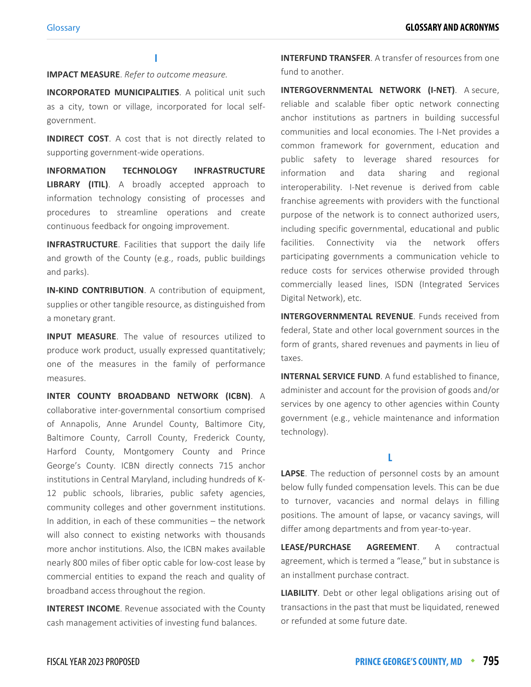**I**

**IMPACT MEASURE**. *Refer to outcome measure.*

**INCORPORATED MUNICIPALITIES**. A political unit such as a city, town or village, incorporated for local selfgovernment.

**INDIRECT COST**. A cost that is not directly related to supporting government-wide operations.

**INFORMATION TECHNOLOGY INFRASTRUCTURE LIBRARY (ITIL)**. A broadly accepted approach to information technology consisting of processes and procedures to streamline operations and create continuous feedback for ongoing improvement.

**INFRASTRUCTURE**. Facilities that support the daily life and growth of the County (e.g., roads, public buildings and parks).

**IN-KIND CONTRIBUTION**. A contribution of equipment, supplies or other tangible resource, as distinguished from a monetary grant.

**INPUT MEASURE**. The value of resources utilized to produce work product, usually expressed quantitatively; one of the measures in the family of performance measures.

**INTER COUNTY BROADBAND NETWORK (ICBN)**. A collaborative inter-governmental consortium comprised of Annapolis, Anne Arundel County, Baltimore City, Baltimore County, Carroll County, Frederick County, Harford County, Montgomery County and Prince George's County. ICBN directly connects 715 anchor institutions in Central Maryland, including hundreds of K-12 public schools, libraries, public safety agencies, community colleges and other government institutions. In addition, in each of these communities – the network will also connect to existing networks with thousands more anchor institutions. Also, the ICBN makes available nearly 800 miles of fiber optic cable for low-cost lease by commercial entities to expand the reach and quality of broadband access throughout the region.

**INTEREST INCOME**. Revenue associated with the County cash management activities of investing fund balances.

**INTERFUND TRANSFER**. A transfer of resources from one fund to another.

**INTERGOVERNMENTAL NETWORK (I-NET)**. A secure, reliable and scalable fiber optic network connecting anchor institutions as partners in building successful communities and local economies. The I-Net provides a common framework for government, education and public safety to leverage shared resources for information and data sharing and regional interoperability. I-Net revenue is derived from cable franchise agreements with providers with the functional purpose of the network is to connect authorized users, including specific governmental, educational and public facilities. Connectivity via the network offers participating governments a communication vehicle to reduce costs for services otherwise provided through commercially leased lines, ISDN (Integrated Services Digital Network), etc.

**INTERGOVERNMENTAL REVENUE.** Funds received from federal, State and other local government sources in the form of grants, shared revenues and payments in lieu of taxes.

**INTERNAL SERVICE FUND**. A fund established to finance, administer and account for the provision of goods and/or services by one agency to other agencies within County government (e.g., vehicle maintenance and information technology).

**L**

**LAPSE**. The reduction of personnel costs by an amount below fully funded compensation levels. This can be due to turnover, vacancies and normal delays in filling positions. The amount of lapse, or vacancy savings, will differ among departments and from year-to-year.

**LEASE/PURCHASE AGREEMENT**. A contractual agreement, which is termed a "lease," but in substance is an installment purchase contract.

**LIABILITY**. Debt or other legal obligations arising out of transactions in the past that must be liquidated, renewed or refunded at some future date.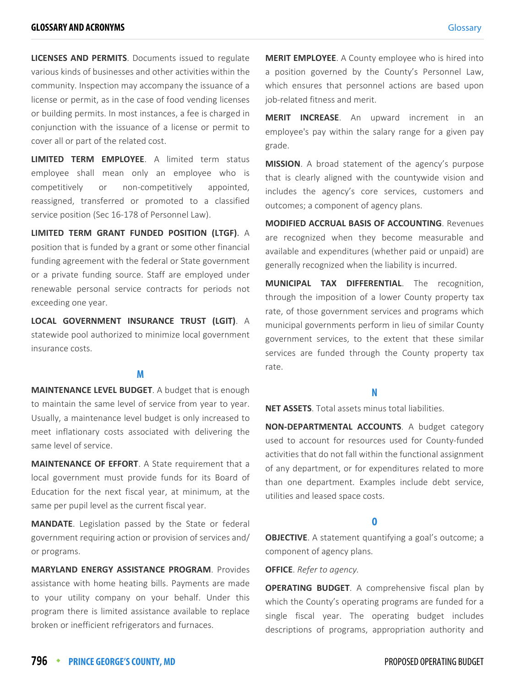**LICENSES AND PERMITS**. Documents issued to regulate various kinds of businesses and other activities within the community. Inspection may accompany the issuance of a license or permit, as in the case of food vending licenses or building permits. In most instances, a fee is charged in conjunction with the issuance of a license or permit to cover all or part of the related cost.

**LIMITED TERM EMPLOYEE**. A limited term status employee shall mean only an employee who is competitively or non-competitively appointed, reassigned, transferred or promoted to a classified service position (Sec 16-178 of Personnel Law).

**LIMITED TERM GRANT FUNDED POSITION (LTGF)**. A position that is funded by a grant or some other financial funding agreement with the federal or State government or a private funding source. Staff are employed under renewable personal service contracts for periods not exceeding one year.

**LOCAL GOVERNMENT INSURANCE TRUST (LGIT)**. A statewide pool authorized to minimize local government insurance costs.

#### **M**

**MAINTENANCE LEVEL BUDGET**. A budget that is enough to maintain the same level of service from year to year. Usually, a maintenance level budget is only increased to meet inflationary costs associated with delivering the same level of service.

**MAINTENANCE OF EFFORT**. A State requirement that a local government must provide funds for its Board of Education for the next fiscal year, at minimum, at the same per pupil level as the current fiscal year.

**MANDATE**. Legislation passed by the State or federal government requiring action or provision of services and/ or programs.

**MARYLAND ENERGY ASSISTANCE PROGRAM**. Provides assistance with home heating bills. Payments are made to your utility company on your behalf. Under this program there is limited assistance available to replace broken or inefficient refrigerators and furnaces.

**MERIT EMPLOYEE**. A County employee who is hired into a position governed by the County's Personnel Law, which ensures that personnel actions are based upon job-related fitness and merit.

**MERIT INCREASE**. An upward increment in an employee's pay within the salary range for a given pay grade.

**MISSION**. A broad statement of the agency's purpose that is clearly aligned with the countywide vision and includes the agency's core services, customers and outcomes; a component of agency plans.

**MODIFIED ACCRUAL BASIS OF ACCOUNTING**. Revenues are recognized when they become measurable and available and expenditures (whether paid or unpaid) are generally recognized when the liability is incurred.

**MUNICIPAL TAX DIFFERENTIAL**. The recognition, through the imposition of a lower County property tax rate, of those government services and programs which municipal governments perform in lieu of similar County government services, to the extent that these similar services are funded through the County property tax rate.

#### **N**

**NET ASSETS**. Total assets minus total liabilities.

**NON-DEPARTMENTAL ACCOUNTS**. A budget category used to account for resources used for County-funded activities that do not fall within the functional assignment of any department, or for expenditures related to more than one department. Examples include debt service, utilities and leased space costs.

#### **O**

**OBJECTIVE**. A statement quantifying a goal's outcome; a component of agency plans.

**OFFICE**. *Refer to agency.*

**OPERATING BUDGET**. A comprehensive fiscal plan by which the County's operating programs are funded for a single fiscal year. The operating budget includes descriptions of programs, appropriation authority and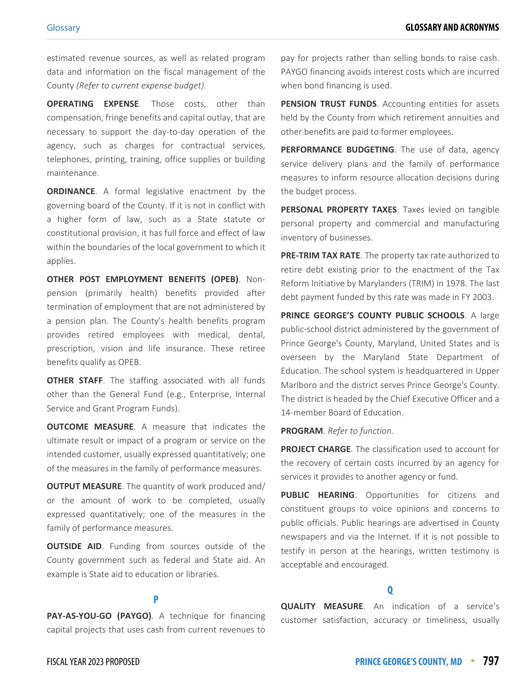estimated revenue sources, as well as related program data and information on the fiscal management of the County *(Refer to current expense budget).*

**OPERATING EXPENSE**. Those costs, other than compensation, fringe benefits and capital outlay, that are necessary to support the day-to-day operation of the agency, such as charges for contractual services, telephones, printing, training, office supplies or building maintenance.

**ORDINANCE.** A formal legislative enactment by the governing board of the County. If it is not in conflict with a higher form of law, such as a State statute or constitutional provision, it has full force and effect of law within the boundaries of the local government to which it applies.

**OTHER POST EMPLOYMENT BENEFITS (OPEB)**. Nonpension (primarily health) benefits provided after termination of employment that are not administered by a pension plan. The County's health benefits program provides retired employees with medical, dental, prescription, vision and life insurance. These retiree benefits qualify as OPEB.

**OTHER STAFF.** The staffing associated with all funds other than the General Fund (e.g., Enterprise, Internal Service and Grant Program Funds).

**OUTCOME MEASURE**. A measure that indicates the ultimate result or impact of a program or service on the intended customer, usually expressed quantitatively; one of the measures in the family of performance measures.

**OUTPUT MEASURE**. The quantity of work produced and/ or the amount of work to be completed, usually expressed quantitatively; one of the measures in the family of performance measures.

**OUTSIDE AID.** Funding from sources outside of the County government such as federal and State aid. An example is State aid to education or libraries.

### **P**

**PAY-AS-YOU-GO (PAYGO)**. A technique for financing capital projects that uses cash from current revenues to

pay for projects rather than selling bonds to raise cash. PAYGO financing avoids interest costs which are incurred when bond financing is used.

**PENSION TRUST FUNDS.** Accounting entities for assets held by the County from which retirement annuities and other benefits are paid to former employees.

**PERFORMANCE BUDGETING**. The use of data, agency service delivery plans and the family of performance measures to inform resource allocation decisions during the budget process.

**PERSONAL PROPERTY TAXES**. Taxes levied on tangible personal property and commercial and manufacturing inventory of businesses.

**PRE-TRIM TAX RATE**. The property tax rate authorized to retire debt existing prior to the enactment of the Tax Reform Initiative by Marylanders (TRIM) in 1978. The last debt payment funded by this rate was made in FY 2003.

**PRINCE GEORGE'S COUNTY PUBLIC SCHOOLS**. A large public-school district administered by the government of Prince George's County, Maryland, United States and is overseen by the Maryland State Department of Education. The school system is headquartered in Upper Marlboro and the district serves Prince George's County. The district is headed by the Chief Executive Officer and a 14-member Board of Education.

**PROGRAM**. *Refer to function.*

**PROJECT CHARGE**. The classification used to account for the recovery of certain costs incurred by an agency for services it provides to another agency or fund.

**PUBLIC HEARING**. Opportunities for citizens and constituent groups to voice opinions and concerns to public officials. Public hearings are advertised in County newspapers and via the Internet. If it is not possible to testify in person at the hearings, written testimony is acceptable and encouraged.

#### **Q**

**QUALITY MEASURE**. An indication of a service's customer satisfaction, accuracy or timeliness, usually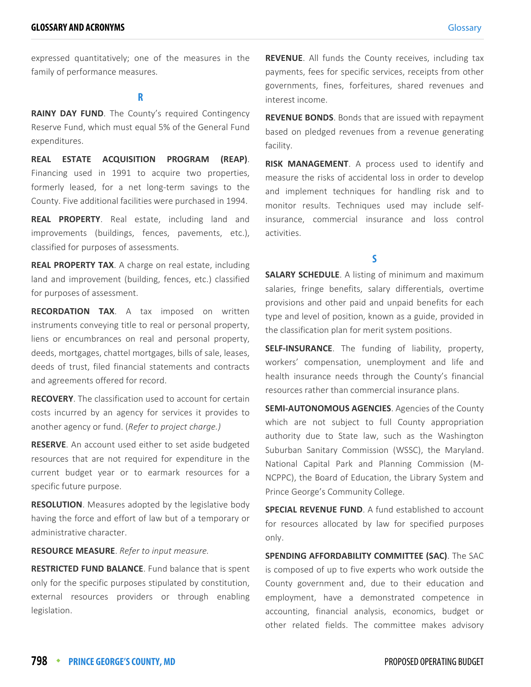expressed quantitatively; one of the measures in the family of performance measures.

**R**

**RAINY DAY FUND**. The County's required Contingency Reserve Fund, which must equal 5% of the General Fund expenditures.

**REAL ESTATE ACQUISITION PROGRAM (REAP)**. Financing used in 1991 to acquire two properties, formerly leased, for a net long-term savings to the County. Five additional facilities were purchased in 1994.

**REAL PROPERTY**. Real estate, including land and improvements (buildings, fences, pavements, etc.), classified for purposes of assessments.

**REAL PROPERTY TAX**. A charge on real estate, including land and improvement (building, fences, etc.) classified for purposes of assessment.

**RECORDATION TAX**. A tax imposed on written instruments conveying title to real or personal property, liens or encumbrances on real and personal property, deeds, mortgages, chattel mortgages, bills of sale, leases, deeds of trust, filed financial statements and contracts and agreements offered for record.

**RECOVERY**. The classification used to account for certain costs incurred by an agency for services it provides to another agency or fund. (*Refer to project charge.)*

**RESERVE**. An account used either to set aside budgeted resources that are not required for expenditure in the current budget year or to earmark resources for a specific future purpose.

**RESOLUTION**. Measures adopted by the legislative body having the force and effort of law but of a temporary or administrative character.

**RESOURCE MEASURE**. *Refer to input measure.*

**RESTRICTED FUND BALANCE**. Fund balance that is spent only for the specific purposes stipulated by constitution, external resources providers or through enabling legislation.

**REVENUE**. All funds the County receives, including tax payments, fees for specific services, receipts from other governments, fines, forfeitures, shared revenues and interest income.

**REVENUE BONDS**. Bonds that are issued with repayment based on pledged revenues from a revenue generating facility.

**RISK MANAGEMENT**. A process used to identify and measure the risks of accidental loss in order to develop and implement techniques for handling risk and to monitor results. Techniques used may include selfinsurance, commercial insurance and loss control activities.

#### **S**

**SALARY SCHEDULE**. A listing of minimum and maximum salaries, fringe benefits, salary differentials, overtime provisions and other paid and unpaid benefits for each type and level of position, known as a guide, provided in the classification plan for merit system positions.

**SELF-INSURANCE**. The funding of liability, property, workers' compensation, unemployment and life and health insurance needs through the County's financial resources rather than commercial insurance plans.

**SEMI-AUTONOMOUS AGENCIES**. Agencies of the County which are not subject to full County appropriation authority due to State law, such as the Washington Suburban Sanitary Commission (WSSC), the Maryland. National Capital Park and Planning Commission (M-NCPPC), the Board of Education, the Library System and Prince George's Community College.

**SPECIAL REVENUE FUND**. A fund established to account for resources allocated by law for specified purposes only.

**SPENDING AFFORDABILITY COMMITTEE (SAC)**. The SAC is composed of up to five experts who work outside the County government and, due to their education and employment, have a demonstrated competence in accounting, financial analysis, economics, budget or other related fields. The committee makes advisory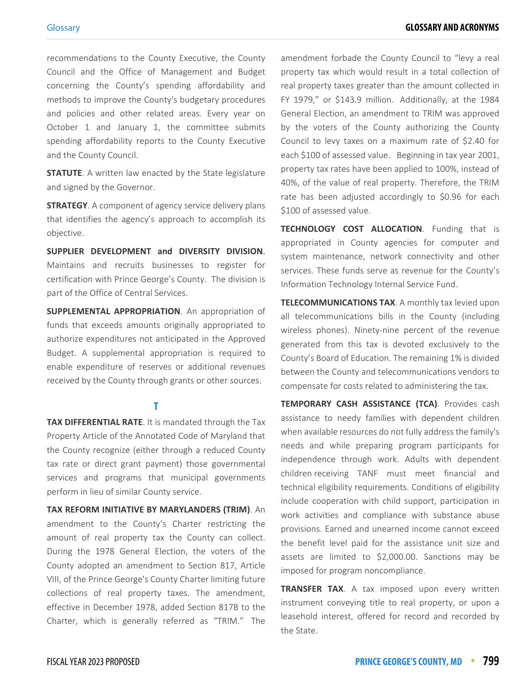recommendations to the County Executive, the County Council and the Office of Management and Budget concerning the County's spending affordability and methods to improve the County's budgetary procedures and policies and other related areas. Every year on October 1 and January 1, the committee submits spending affordability reports to the County Executive and the County Council.

**STATUTE**. A written law enacted by the State legislature and signed by the Governor.

**STRATEGY**. A component of agency service delivery plans that identifies the agency's approach to accomplish its objective.

**SUPPLIER DEVELOPMENT and DIVERSITY DIVISION**. Maintains and recruits businesses to register for certification with Prince George's County. The division is part of the Office of Central Services.

**SUPPLEMENTAL APPROPRIATION.** An appropriation of funds that exceeds amounts originally appropriated to authorize expenditures not anticipated in the Approved Budget. A supplemental appropriation is required to enable expenditure of reserves or additional revenues received by the County through grants or other sources.

#### **T**

**TAX DIFFERENTIAL RATE**. It is mandated through the Tax Property Article of the Annotated Code of Maryland that the County recognize (either through a reduced County tax rate or direct grant payment) those governmental services and programs that municipal governments perform in lieu of similar County service.

**TAX REFORM INITIATIVE BY MARYLANDERS (TRIM)**. An amendment to the County's Charter restricting the amount of real property tax the County can collect. During the 1978 General Election, the voters of the County adopted an amendment to Section 817, Article VIII, of the Prince George's County Charter limiting future collections of real property taxes. The amendment, effective in December 1978, added Section 817B to the Charter, which is generally referred as "TRIM." The

amendment forbade the County Council to "levy a real property tax which would result in a total collection of real property taxes greater than the amount collected in FY 1979," or \$143.9 million. Additionally, at the 1984 General Election, an amendment to TRIM was approved by the voters of the County authorizing the County Council to levy taxes on a maximum rate of \$2.40 for each \$100 of assessed value. Beginning in tax year 2001, property tax rates have been applied to 100%, instead of 40%, of the value of real property. Therefore, the TRIM rate has been adjusted accordingly to \$0.96 for each \$100 of assessed value.

**TECHNOLOGY COST ALLOCATION**. Funding that is appropriated in County agencies for computer and system maintenance, network connectivity and other services. These funds serve as revenue for the County's Information Technology Internal Service Fund.

**TELECOMMUNICATIONS TAX**. A monthly tax levied upon all telecommunications bills in the County (including wireless phones). Ninety-nine percent of the revenue generated from this tax is devoted exclusively to the County's Board of Education. The remaining 1% is divided between the County and telecommunications vendors to compensate for costs related to administering the tax.

**TEMPORARY CASH ASSISTANCE (TCA)**. Provides cash assistance to needy families with dependent children when available resources do not fully address the family's needs and while preparing program participants for independence through work. Adults with dependent children receiving TANF must meet financial and technical eligibility requirements. Conditions of eligibility include cooperation with child support, participation in work activities and compliance with substance abuse provisions. Earned and unearned income cannot exceed the benefit level paid for the assistance unit size and assets are limited to \$2,000.00. Sanctions may be imposed for program noncompliance.

**TRANSFER TAX**. A tax imposed upon every written instrument conveying title to real property, or upon a leasehold interest, offered for record and recorded by the State.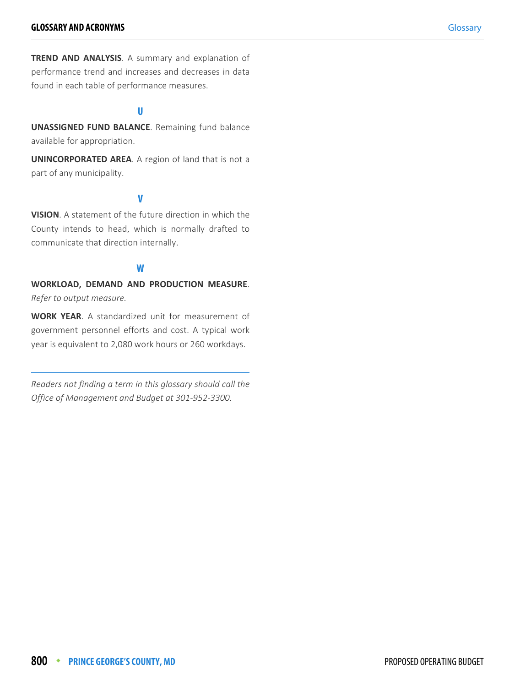**TREND AND ANALYSIS**. A summary and explanation of performance trend and increases and decreases in data found in each table of performance measures.

#### **U**

**UNASSIGNED FUND BALANCE**. Remaining fund balance available for appropriation.

**UNINCORPORATED AREA**. A region of land that is not a part of any municipality.

#### **V**

**VISION**. A statement of the future direction in which the County intends to head, which is normally drafted to communicate that direction internally.

#### **W**

**WORKLOAD, DEMAND AND PRODUCTION MEASURE**. *Refer to output measure.*

**WORK YEAR**. A standardized unit for measurement of government personnel efforts and cost. A typical work year is equivalent to 2,080 work hours or 260 workdays.

*Readers not finding a term in this glossary should call the Office of Management and Budget at 301-952-3300.*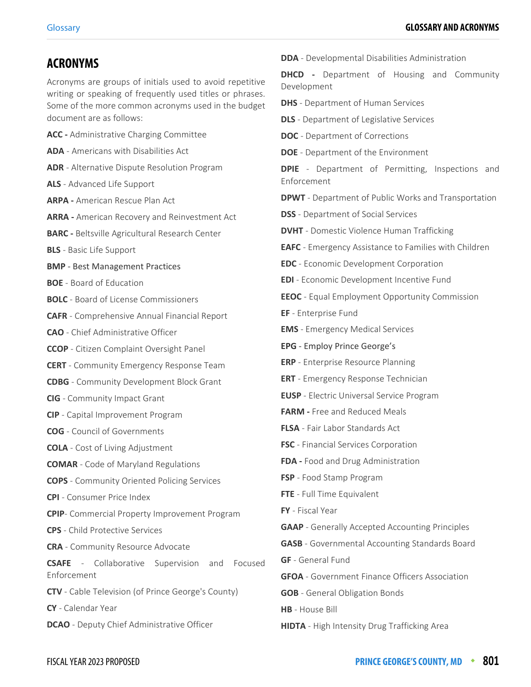## **ACRONYMS**

Acronyms are groups of initials used to avoid repetitive writing or speaking of frequently used titles or phrases. Some of the more common acronyms used in the budget document are as follows:

- **ACC** Administrative Charging Committee
- **ADA** Americans with Disabilities Act
- **ADR** Alternative Dispute Resolution Program
- **ALS** Advanced Life Support
- **ARPA** American Rescue Plan Act
- **ARRA** American Recovery and Reinvestment Act
- **BARC** Beltsville Agricultural Research Center
- **BLS** Basic Life Support
- **BMP**  Best Management Practices
- **BOE** Board of Education
- **BOLC** Board of License Commissioners
- **CAFR** Comprehensive Annual Financial Report
- **CAO** Chief Administrative Officer
- **CCOP** Citizen Complaint Oversight Panel
- **CERT** Community Emergency Response Team
- **CDBG** Community Development Block Grant
- **CIG** Community Impact Grant
- **CIP** Capital Improvement Program
- **COG** Council of Governments
- **COLA** Cost of Living Adjustment
- **COMAR** Code of Maryland Regulations
- **COPS** Community Oriented Policing Services
- **CPI** Consumer Price Index
- **CPIP** Commercial Property Improvement Program
- **CPS** Child Protective Services
- **CRA** Community Resource Advocate

**CSAFE** - Collaborative Supervision and Focused Enforcement

**CTV** - Cable Television (of Prince George's County)

**CY** - Calendar Year

**DCAO** - Deputy Chief Administrative Officer

**DDA** - Developmental Disabilities Administration

**DHCD** - Department of Housing and Community Development

- **DHS** Department of Human Services
- **DLS** Department of Legislative Services
- **DOC** Department of Corrections
- **DOE** Department of the Environment

**DPIE** - Department of Permitting, Inspections and Enforcement

- **DPWT** Department of Public Works and Transportation
- **DSS** Department of Social Services
- **DVHT**  Domestic Violence Human Trafficking
- **EAFC** Emergency Assistance to Families with Children
- **EDC** Economic Development Corporation
- **EDI** Economic Development Incentive Fund
- **EEOC** Equal Employment Opportunity Commission
- **EF** Enterprise Fund
- **EMS** Emergency Medical Services
- **EPG** Employ Prince George's
- **ERP** Enterprise Resource Planning
- **ERT** Emergency Response Technician
- **EUSP** Electric Universal Service Program
- **FARM** Free and Reduced Meals
- **FLSA** Fair Labor Standards Act
- **FSC** Financial Services Corporation
- **FDA** Food and Drug Administration
- **FSP** Food Stamp Program
- **FTE** Full Time Equivalent
- **FY** Fiscal Year
- **GAAP** Generally Accepted Accounting Principles
- **GASB** Governmental Accounting Standards Board
- **GF** General Fund
- **GFOA** Government Finance Officers Association
- **GOB** General Obligation Bonds
- **HB** House Bill
- **HIDTA** High Intensity Drug Trafficking Area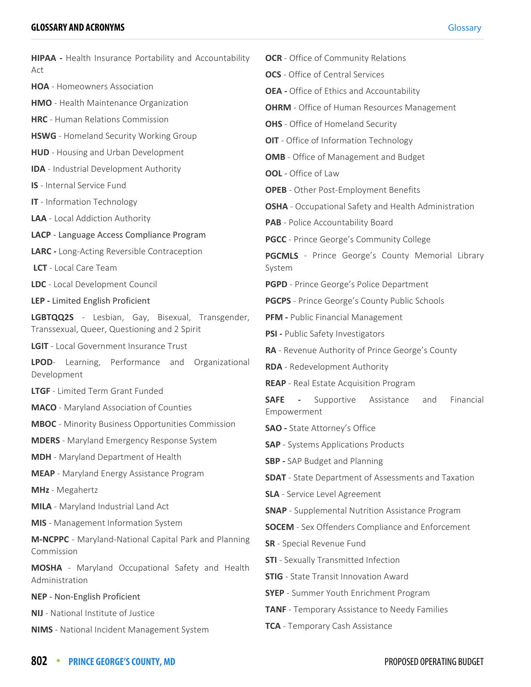| HIPAA - Health Insurance Portability and Accountability             | <b>OCR</b> - Office of Community Relations                                                             |
|---------------------------------------------------------------------|--------------------------------------------------------------------------------------------------------|
| Act                                                                 | <b>OCS</b> - Office of Central Services                                                                |
| <b>HOA</b> - Homeowners Association                                 | <b>OEA</b> - Office of Ethics and Accountability                                                       |
| <b>HMO</b> - Health Maintenance Organization                        | <b>OHRM</b> - Office of Human Resources Management                                                     |
| HRC - Human Relations Commission                                    | <b>OHS</b> - Office of Homeland Security                                                               |
| <b>HSWG</b> - Homeland Security Working Group                       | OIT - Office of Information Technology                                                                 |
| <b>HUD</b> - Housing and Urban Development                          | <b>OMB</b> - Office of Management and Budget                                                           |
| <b>IDA</b> - Industrial Development Authority                       | <b>OOL</b> - Office of Law                                                                             |
| <b>IS</b> - Internal Service Fund                                   | <b>OPEB</b> - Other Post-Employment Benefits                                                           |
| <b>IT</b> - Information Technology                                  | <b>OSHA</b> - Occupational Safety and Health Administration                                            |
| LAA - Local Addiction Authority                                     | PAB - Police Accountability Board                                                                      |
| LACP - Language Access Compliance Program                           | <b>PGCC</b> - Prince George's Community College                                                        |
| <b>LARC</b> - Long-Acting Reversible Contraception                  | <b>PGCMLS</b> - Prince George's County Memorial Library                                                |
| LCT - Local Care Team                                               | System                                                                                                 |
| LDC - Local Development Council                                     | PGPD - Prince George's Police Department                                                               |
| LEP - Limited English Proficient                                    | <b>PGCPS</b> - Prince George's County Public Schools                                                   |
| LGBTQQ2S - Lesbian, Gay, Bisexual, Transgender,                     | <b>PFM - Public Financial Management</b>                                                               |
| Transsexual, Queer, Questioning and 2 Spirit                        | PSI - Public Safety Investigators                                                                      |
| LGIT - Local Government Insurance Trust                             | RA - Revenue Authority of Prince George's County                                                       |
| Learning, Performance and<br>Organizational<br>LPOD-<br>Development | <b>RDA</b> - Redevelopment Authority                                                                   |
| LTGF - Limited Term Grant Funded                                    | <b>REAP</b> - Real Estate Acquisition Program                                                          |
| <b>MACO</b> - Maryland Association of Counties                      | <b>SAFE</b><br>Financial<br>Supportive<br>Assistance<br>and<br>$\overline{\phantom{a}}$<br>Empowerment |
| <b>MBOC</b> - Minority Business Opportunities Commission            | <b>SAO</b> - State Attorney's Office                                                                   |
| <b>MDERS</b> - Maryland Emergency Response System                   | <b>SAP</b> - Systems Applications Products                                                             |
| <b>MDH</b> - Maryland Department of Health                          | <b>SBP</b> - SAP Budget and Planning                                                                   |
| <b>MEAP</b> - Maryland Energy Assistance Program                    | <b>SDAT</b> - State Department of Assessments and Taxation                                             |
| MHz - Megahertz                                                     | <b>SLA</b> - Service Level Agreement                                                                   |
| <b>MILA</b> - Maryland Industrial Land Act                          | <b>SNAP</b> - Supplemental Nutrition Assistance Program                                                |
| MIS - Management Information System                                 | <b>SOCEM</b> - Sex Offenders Compliance and Enforcement                                                |
| M-NCPPC - Maryland-National Capital Park and Planning<br>Commission | SR - Special Revenue Fund                                                                              |
| MOSHA - Maryland Occupational Safety and Health                     | <b>STI</b> - Sexually Transmitted Infection                                                            |
| Administration                                                      | <b>STIG</b> - State Transit Innovation Award                                                           |
| NEP - Non-English Proficient                                        | <b>SYEP</b> - Summer Youth Enrichment Program                                                          |
| <b>NIJ</b> - National Institute of Justice                          | <b>TANF</b> - Temporary Assistance to Needy Families                                                   |
| <b>NIMS</b> - National Incident Management System                   | TCA - Temporary Cash Assistance                                                                        |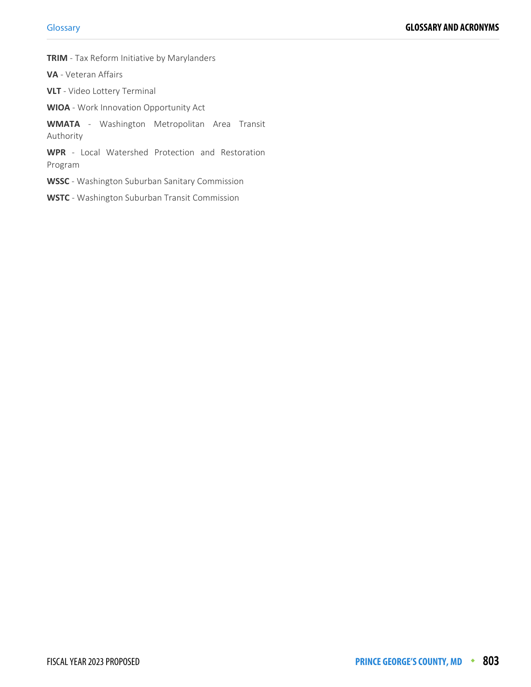**TRIM** - Tax Reform Initiative by Marylanders

**VA** - Veteran Affairs

**VLT** - Video Lottery Terminal

**WIOA** - Work Innovation Opportunity Act

**WMATA** - Washington Metropolitan Area Transit Authority

**WPR** - Local Watershed Protection and Restoration Program

**WSSC** - Washington Suburban Sanitary Commission

**WSTC** - Washington Suburban Transit Commission